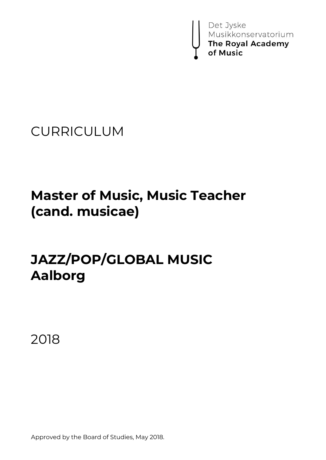

CURRICULUM

# **Master of Music, Music Teacher (cand. musicae)**

# **JAZZ/POP/GLOBAL MUSIC Aalborg**

2018

Approved by the Board of Studies, May 2018.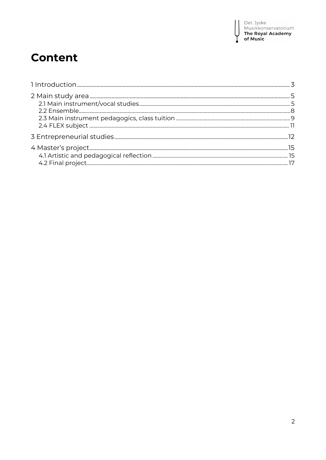# **Content**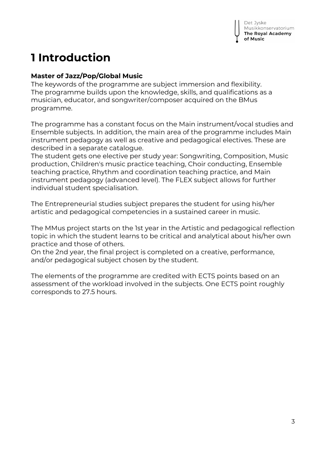# **1 Introduction**

#### **Master of Jazz/Pop/Global Music**

The keywords of the programme are subject immersion and flexibility. The programme builds upon the knowledge, skills, and qualifications as a musician, educator, and songwriter/composer acquired on the BMus programme.

The programme has a constant focus on the Main instrument/vocal studies and Ensemble subjects. In addition, the main area of the programme includes Main instrument pedagogy as well as creative and pedagogical electives. These are described in a separate catalogue.

The student gets one elective per study year: Songwriting, Composition, Music production, Children's music practice teaching, Choir conducting, Ensemble teaching practice, Rhythm and coordination teaching practice, and Main instrument pedagogy (advanced level). The FLEX subject allows for further individual student specialisation.

The Entrepreneurial studies subject prepares the student for using his/her artistic and pedagogical competencies in a sustained career in music.

The MMus project starts on the 1st year in the Artistic and pedagogical reflection topic in which the student learns to be critical and analytical about his/her own practice and those of others.

On the 2nd year, the final project is completed on a creative, performance, and/or pedagogical subject chosen by the student.

The elements of the programme are credited with ECTS points based on an assessment of the workload involved in the subjects. One ECTS point roughly corresponds to 27.5 hours.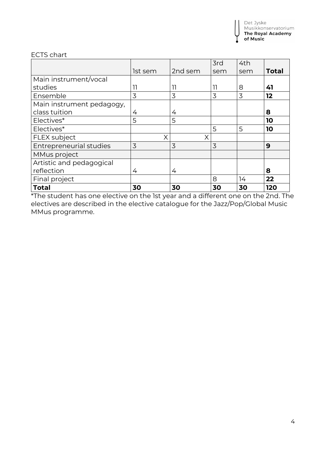#### ECTS chart

|                                |         |         | 3rd | 4th |              |
|--------------------------------|---------|---------|-----|-----|--------------|
|                                | 1st sem | 2nd sem | sem | sem | <b>Total</b> |
| Main instrument/vocal          |         |         |     |     |              |
| studies                        | 11      | 11      | 11  | 8   | 41           |
| Ensemble                       | 3       | 3       | 3   | 3   | 12           |
| Main instrument pedagogy,      |         |         |     |     |              |
| class tuition                  | 4       | 4       |     |     | 8            |
| Electives*                     | 5       | 5       |     |     | 10           |
| Electives*                     |         |         | 5   | 5   | 10           |
| <b>FLEX subject</b>            | X       | Χ       |     |     |              |
| <b>Entrepreneurial studies</b> | 3       | 3       | 3   |     | 9            |
| MMus project                   |         |         |     |     |              |
| Artistic and pedagogical       |         |         |     |     |              |
| reflection                     | 4       | 4       |     |     | 8            |
| Final project                  |         |         | 8   | 14  | 22           |
| <b>Total</b>                   | 30      | 30      | 30  | 30  | 120          |

\*The student has one elective on the 1st year and a different one on the 2nd. The electives are described in the elective catalogue for the Jazz/Pop/Global Music MMus programme.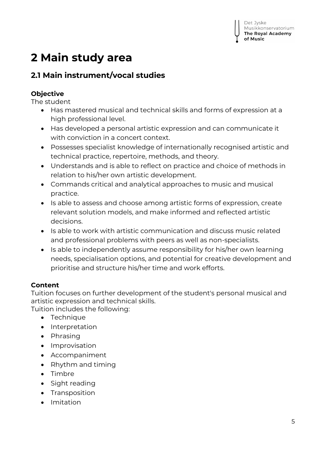# **2 Main study area**

## **2.1 Main instrument/vocal studies**

## **Objective**

The student

- Has mastered musical and technical skills and forms of expression at a high professional level.
- Has developed a personal artistic expression and can communicate it with conviction in a concert context.
- Possesses specialist knowledge of internationally recognised artistic and technical practice, repertoire, methods, and theory.
- Understands and is able to reflect on practice and choice of methods in relation to his/her own artistic development.
- Commands critical and analytical approaches to music and musical practice.
- Is able to assess and choose among artistic forms of expression, create relevant solution models, and make informed and reflected artistic decisions.
- Is able to work with artistic communication and discuss music related and professional problems with peers as well as non-specialists.
- Is able to independently assume responsibility for his/her own learning needs, specialisation options, and potential for creative development and prioritise and structure his/her time and work efforts.

## **Content**

Tuition focuses on further development of the student's personal musical and artistic expression and technical skills. Tuition includes the following:

• Technique

- Interpretation
- Phrasing
- Improvisation
- Accompaniment
- Rhythm and timing
- Timbre
- Sight reading
- Transposition
- Imitation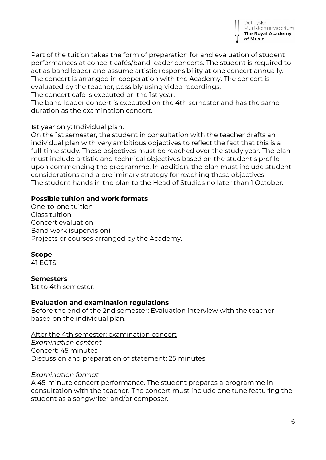

Part of the tuition takes the form of preparation for and evaluation of student performances at concert cafés/band leader concerts. The student is required to act as band leader and assume artistic responsibility at one concert annually. The concert is arranged in cooperation with the Academy. The concert is evaluated by the teacher, possibly using video recordings. The concert café is executed on the 1st year.

The band leader concert is executed on the 4th semester and has the same duration as the examination concert.

1st year only: Individual plan.

On the 1st semester, the student in consultation with the teacher drafts an individual plan with very ambitious objectives to reflect the fact that this is a full-time study. These objectives must be reached over the study year. The plan must include artistic and technical objectives based on the student's profile upon commencing the programme. In addition, the plan must include student considerations and a preliminary strategy for reaching these objectives. The student hands in the plan to the Head of Studies no later than 1 October.

#### **Possible tuition and work formats**

One-to-one tuition Class tuition Concert evaluation Band work (supervision) Projects or courses arranged by the Academy.

#### **Scope**

41 ECTS

#### **Semesters**

1st to 4th semester.

#### **Evaluation and examination regulations**

Before the end of the 2nd semester: Evaluation interview with the teacher based on the individual plan.

#### After the 4th semester: examination concert

*Examination content* Concert: 45 minutes Discussion and preparation of statement: 25 minutes

#### *Examination format*

A 45-minute concert performance. The student prepares a programme in consultation with the teacher. The concert must include one tune featuring the student as a songwriter and/or composer.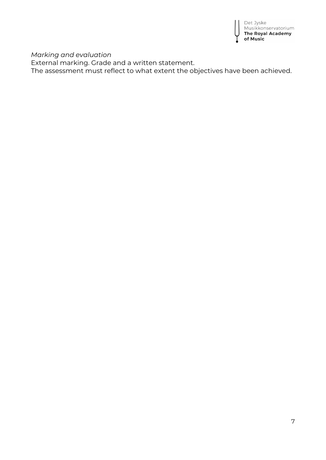

*Marking and evaluation*

External marking. Grade and a written statement.

The assessment must reflect to what extent the objectives have been achieved.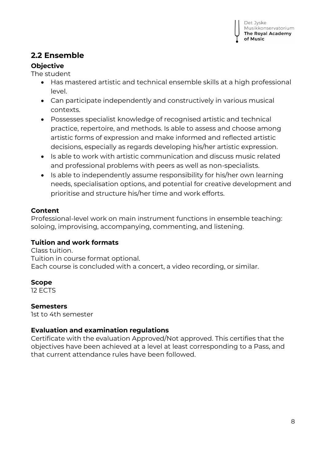## **2.2 Ensemble**

### **Objective**

The student

- Has mastered artistic and technical ensemble skills at a high professional level.
- Can participate independently and constructively in various musical contexts.
- Possesses specialist knowledge of recognised artistic and technical practice, repertoire, and methods. Is able to assess and choose among artistic forms of expression and make informed and reflected artistic decisions, especially as regards developing his/her artistic expression.
- Is able to work with artistic communication and discuss music related and professional problems with peers as well as non-specialists.
- Is able to independently assume responsibility for his/her own learning needs, specialisation options, and potential for creative development and prioritise and structure his/her time and work efforts.

### **Content**

Professional-level work on main instrument functions in ensemble teaching: soloing, improvising, accompanying, commenting, and listening.

#### **Tuition and work formats**

Class tuition. Tuition in course format optional. Each course is concluded with a concert, a video recording, or similar.

### **Scope**

12 ECTS

#### **Semesters**

1st to 4th semester

### **Evaluation and examination regulations**

Certificate with the evaluation Approved/Not approved. This certifies that the objectives have been achieved at a level at least corresponding to a Pass, and that current attendance rules have been followed.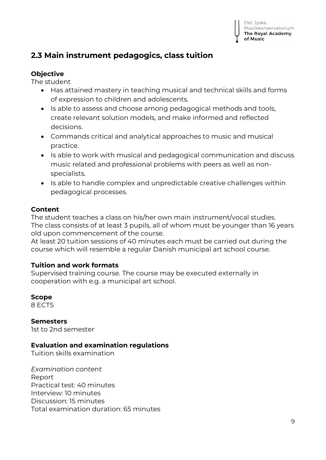## **2.3 Main instrument pedagogics, class tuition**

#### **Objective**

The student

- Has attained mastery in teaching musical and technical skills and forms of expression to children and adolescents.
- Is able to assess and choose among pedagogical methods and tools, create relevant solution models, and make informed and reflected decisions.
- Commands critical and analytical approaches to music and musical practice.
- Is able to work with musical and pedagogical communication and discuss music related and professional problems with peers as well as nonspecialists.
- Is able to handle complex and unpredictable creative challenges within pedagogical processes.

#### **Content**

The student teaches a class on his/her own main instrument/vocal studies. The class consists of at least 3 pupils, all of whom must be younger than 16 years old upon commencement of the course.

At least 20 tuition sessions of 40 minutes each must be carried out during the course which will resemble a regular Danish municipal art school course.

#### **Tuition and work formats**

Supervised training course. The course may be executed externally in cooperation with e.g. a municipal art school.

**Scope**

8 ECTS

**Semesters** 1st to 2nd semester

#### **Evaluation and examination regulations**

Tuition skills examination

*Examination content* Report Practical test: 40 minutes Interview: 10 minutes Discussion: 15 minutes Total examination duration: 65 minutes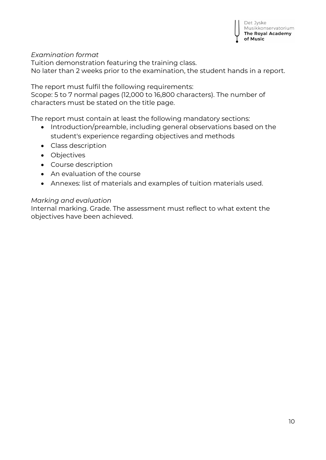#### *Examination format*

Tuition demonstration featuring the training class. No later than 2 weeks prior to the examination, the student hands in a report.

The report must fulfil the following requirements:

Scope: 5 to 7 normal pages (12,000 to 16,800 characters). The number of characters must be stated on the title page.

The report must contain at least the following mandatory sections:

- Introduction/preamble, including general observations based on the student's experience regarding objectives and methods
- Class description
- Objectives
- Course description
- An evaluation of the course
- Annexes: list of materials and examples of tuition materials used.

#### *Marking and evaluation*

Internal marking. Grade. The assessment must reflect to what extent the objectives have been achieved.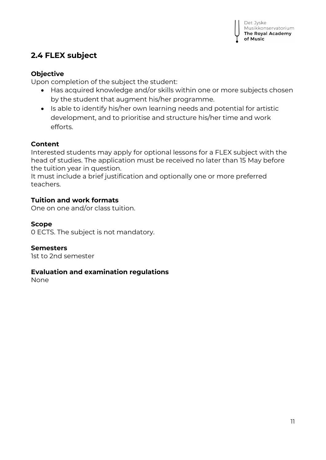## **2.4 FLEX subject**

#### **Objective**

Upon completion of the subject the student:

- Has acquired knowledge and/or skills within one or more subjects chosen by the student that augment his/her programme.
- Is able to identify his/her own learning needs and potential for artistic development, and to prioritise and structure his/her time and work efforts.

#### **Content**

Interested students may apply for optional lessons for a FLEX subject with the head of studies. The application must be received no later than 15 May before the tuition year in question.

It must include a brief justification and optionally one or more preferred teachers.

#### **Tuition and work formats**

One on one and/or class tuition.

#### **Scope**

0 ECTS. The subject is not mandatory.

#### **Semesters**

1st to 2nd semester

#### **Evaluation and examination regulations**

None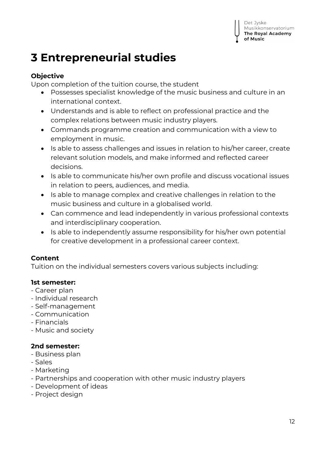Det Jyske

of Music

Musikkonservatorium The Royal Academy

## **3 Entrepreneurial studies**

#### **Objective**

Upon completion of the tuition course, the student

- Possesses specialist knowledge of the music business and culture in an international context.
- Understands and is able to reflect on professional practice and the complex relations between music industry players.
- Commands programme creation and communication with a view to employment in music.
- Is able to assess challenges and issues in relation to his/her career, create relevant solution models, and make informed and reflected career decisions.
- Is able to communicate his/her own profile and discuss vocational issues in relation to peers, audiences, and media.
- Is able to manage complex and creative challenges in relation to the music business and culture in a globalised world.
- Can commence and lead independently in various professional contexts and interdisciplinary cooperation.
- Is able to independently assume responsibility for his/her own potential for creative development in a professional career context.

#### **Content**

Tuition on the individual semesters covers various subjects including:

#### **1st semester:**

- Career plan
- Individual research
- Self-management
- Communication
- Financials
- Music and society

### **2nd semester:**

- Business plan
- Sales
- Marketing
- Partnerships and cooperation with other music industry players
- Development of ideas
- Project design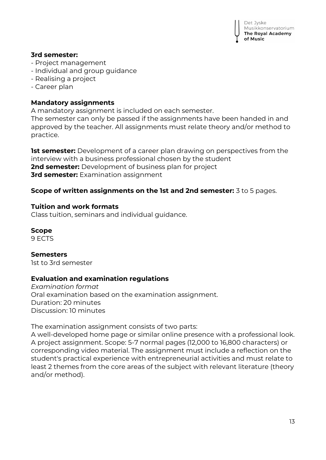

#### **3rd semester:**

- Project management
- Individual and group guidance
- Realising a project
- Career plan

#### **Mandatory assignments**

A mandatory assignment is included on each semester.

The semester can only be passed if the assignments have been handed in and approved by the teacher. All assignments must relate theory and/or method to practice.

**1st semester:** Development of a career plan drawing on perspectives from the interview with a business professional chosen by the student **2nd semester:** Development of business plan for project **3rd semester:** Examination assignment

#### **Scope of written assignments on the 1st and 2nd semester:** 3 to 5 pages.

#### **Tuition and work formats**

Class tuition, seminars and individual guidance.

#### **Scope**

9 ECTS

#### **Semesters**

1st to 3rd semester

#### **Evaluation and examination regulations**

*Examination format* Oral examination based on the examination assignment. Duration: 20 minutes Discussion: 10 minutes

The examination assignment consists of two parts:

A well-developed home page or similar online presence with a professional look. A project assignment. Scope: 5-7 normal pages (12,000 to 16,800 characters) or corresponding video material. The assignment must include a reflection on the student's practical experience with entrepreneurial activities and must relate to least 2 themes from the core areas of the subject with relevant literature (theory and/or method).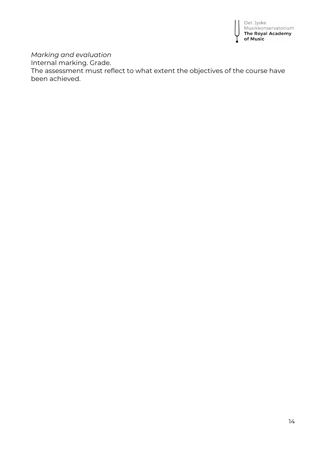

*Marking and evaluation*

Internal marking. Grade.

The assessment must reflect to what extent the objectives of the course have been achieved.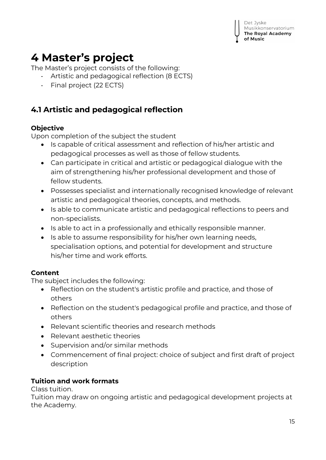

# **4 Master's project**

The Master's project consists of the following:

- Artistic and pedagogical reflection (8 ECTS)
- Final project (22 ECTS)

## **4.1 Artistic and pedagogical reflection**

#### **Objective**

Upon completion of the subject the student

- Is capable of critical assessment and reflection of his/her artistic and pedagogical processes as well as those of fellow students.
- Can participate in critical and artistic or pedagogical dialogue with the aim of strengthening his/her professional development and those of fellow students.
- Possesses specialist and internationally recognised knowledge of relevant artistic and pedagogical theories, concepts, and methods.
- Is able to communicate artistic and pedagogical reflections to peers and non-specialists.
- Is able to act in a professionally and ethically responsible manner.
- Is able to assume responsibility for his/her own learning needs, specialisation options, and potential for development and structure his/her time and work efforts.

#### **Content**

The subject includes the following:

- Reflection on the student's artistic profile and practice, and those of others
- Reflection on the student's pedagogical profile and practice, and those of others
- Relevant scientific theories and research methods
- Relevant aesthetic theories
- Supervision and/or similar methods
- Commencement of final project: choice of subject and first draft of project description

#### **Tuition and work formats**

Class tuition.

Tuition may draw on ongoing artistic and pedagogical development projects at the Academy.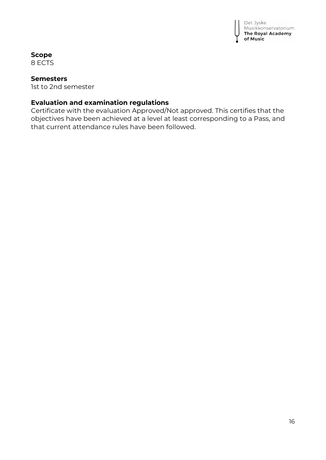

#### **Scope**

8 ECTS

#### **Semesters**

1st to 2nd semester

#### **Evaluation and examination regulations**

Certificate with the evaluation Approved/Not approved. This certifies that the objectives have been achieved at a level at least corresponding to a Pass, and that current attendance rules have been followed.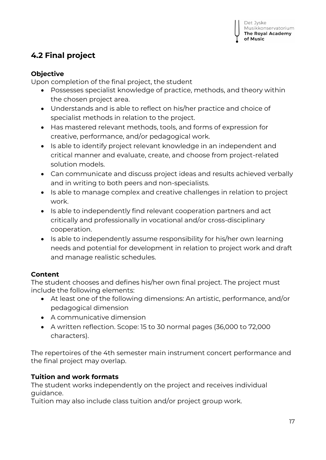## **4.2 Final project**

#### **Objective**

Upon completion of the final project, the student

- Possesses specialist knowledge of practice, methods, and theory within the chosen project area.
- Understands and is able to reflect on his/her practice and choice of specialist methods in relation to the project.
- Has mastered relevant methods, tools, and forms of expression for creative, performance, and/or pedagogical work.
- Is able to identify project relevant knowledge in an independent and critical manner and evaluate, create, and choose from project-related solution models.
- Can communicate and discuss project ideas and results achieved verbally and in writing to both peers and non-specialists.
- Is able to manage complex and creative challenges in relation to project work.
- Is able to independently find relevant cooperation partners and act critically and professionally in vocational and/or cross-disciplinary cooperation.
- Is able to independently assume responsibility for his/her own learning needs and potential for development in relation to project work and draft and manage realistic schedules.

### **Content**

The student chooses and defines his/her own final project. The project must include the following elements:

- At least one of the following dimensions: An artistic, performance, and/or pedagogical dimension
- A communicative dimension
- A written reflection. Scope: 15 to 30 normal pages (36,000 to 72,000 characters).

The repertoires of the 4th semester main instrument concert performance and the final project may overlap.

### **Tuition and work formats**

The student works independently on the project and receives individual guidance.

Tuition may also include class tuition and/or project group work.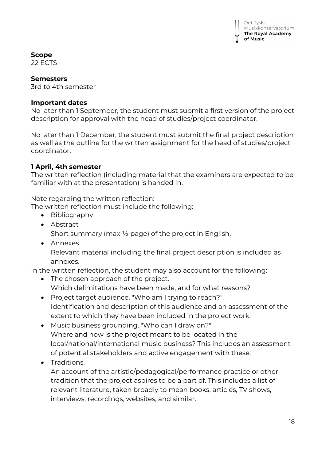Det Jyske Musikkonservatorium The Royal Academy of Music

**Scope**

22 ECTS

#### **Semesters**

3rd to 4th semester

#### **Important dates**

No later than 1 September, the student must submit a first version of the project description for approval with the head of studies/project coordinator.

No later than 1 December, the student must submit the final project description as well as the outline for the written assignment for the head of studies/project coordinator.

#### **1 April, 4th semester**

The written reflection (including material that the examiners are expected to be familiar with at the presentation) is handed in.

Note regarding the written reflection:

The written reflection must include the following:

- Bibliography
- Abstract

Short summary (max  $\frac{1}{2}$  page) of the project in English.

• Annexes Relevant material including the final project description is included as annexes.

In the written reflection, the student may also account for the following:

- The chosen approach of the project. Which delimitations have been made, and for what reasons?
- Project target audience. "Who am I trying to reach?" Identification and description of this audience and an assessment of the extent to which they have been included in the project work.
- Music business grounding. "Who can I draw on?" Where and how is the project meant to be located in the local/national/international music business? This includes an assessment of potential stakeholders and active engagement with these.
- Traditions.

An account of the artistic/pedagogical/performance practice or other tradition that the project aspires to be a part of. This includes a list of relevant literature, taken broadly to mean books, articles, TV shows, interviews, recordings, websites, and similar.